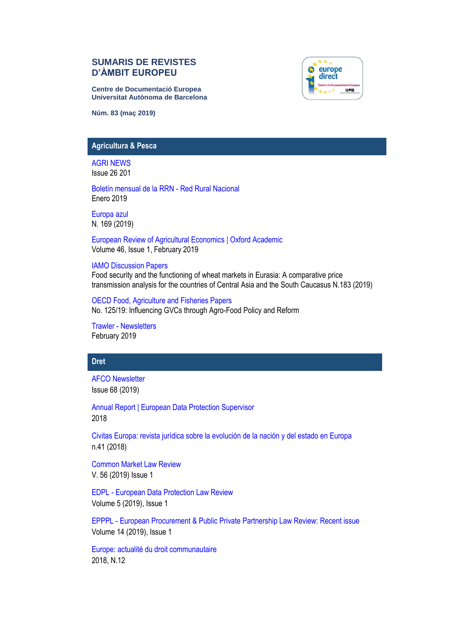# **SUMARIS DE REVISTES D'ÀMBIT EUROPEU**

**Centre de Documentació Europea Universitat Autònoma de Barcelona**



**Núm. 83 (maç 2019)**

### **Agricultura & Pesca**

[AGRI NEWS](http://www.europarl.europa.eu/committees/es/agri/newsletters.html)  Issue 26 201

[Boletín mensual de la RRN -](http://www.redruralnacional.es/boletin-rrn) Red Rural Nacional Enero 2019

[Europa azul](https://dialnet.unirioja.es/servlet/revista?codigo=3030)  N. 169 (2019)

[European Review of Agricultural Economics | Oxford Academic](https://academic.oup.com/erae)  Volume 46, Issue 1, February 2019

#### [IAMO Discussion Papers](https://www.iamo.de/en/publications/iamo-discussion-papers/)

Food security and the functioning of wheat markets in Eurasia: A comparative price transmission analysis for the countries of Central Asia and the South Caucasus N.183 (2019)

[OECD Food, Agriculture and Fisheries Papers](http://www.oecd-ilibrary.org/agriculture-and-food/oecd-food-agriculture-and-fisheries-working-papers_18156797)  No. 125/19: Influencing GVCs through Agro-Food Policy and Reform

Trawler - [Newsletters](http://www.europarl.europa.eu/committees/es/pech/newsletters.html)  February 2019

## **Dret**

[AFCO Newsletter](http://www.europarl.europa.eu/committees/es/afco/newsletters.html) Issue 68 (2019)

[Annual Report | European Data Protection Supervisor](https://edps.europa.eu/annual-reports_en) 2018

[Civitas Europa: revista jurídica sobre la evolución de la nación y del estado en Europa](https://dialnet.unirioja.es/servlet/revista?codigo=5836) n.41 (2018)

[Common Market Law Review](http://www.kluwerlawonline.com/toc.php?area=Journals&mode=bypub&level=4&values=Journals~~Common+Market+Law+Review) V. 56 (2019) Issue 1

EDPL - [European Data Protection Law Review](https://edpl.lexxion.eu/current_issue/EDPL) Volume 5 (2019), Issue 1

EPPPL - [European Procurement & Public Private Partnership Law Review: Recent issue](https://epppl.lexxion.eu/current_issue/EPPPL?_locale=en) Volume 14 (2019), Issue 1

[Europe: actualité du droit communautaire](https://dialnet.unirioja.es/servlet/revista?codigo=12886) 2018, N.12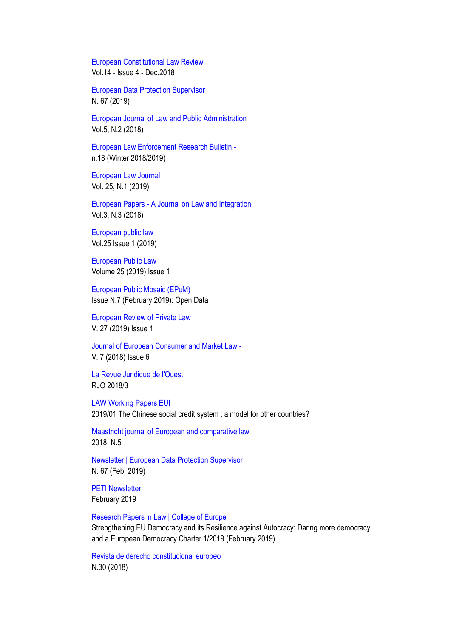[European Constitutional Law Review](https://www.cambridge.org/core/journals/european-constitutional-law-review/latest-issue) Vol.14 - Issue 4 - Dec.2018

[European Data Protection Supervisor](https://edps.europa.eu/press-publications/publications/newsletters_en) N. 67 (2019)

[European Journal of Law and Public Administration](http://lumenpublishing.com/journals/index.php/ejlpa/issue/view/EJLPA_4.2_2017) Vol.5, N.2 (2018)

[European Law Enforcement Research Bulletin](https://www.cepol.europa.eu/european-law-enforcement-research-bulletin-latest-issue)  n.18 (Winter 2018/2019)

[European Law Journal](https://onlinelibrary.wiley.com/toc/14680386/2018/24/4-5) Vol. 25, N.1 (2019)

European Papers - [A Journal on Law and Integration](http://www.europeanpapers.eu/en/content/e-journal/EP_eJ_2017_1) Vol.3, N.3 (2018)

[European public law](https://dialnet.unirioja.es/servlet/revista?codigo=12073)  Vol.25 Issue 1 (2019)

[European Public Law](http://www.kluwerlawonline.com/toc.php?area=Journals&mode=bypub&level=4&values=Journals~~European+Public+Law) Volume 25 (2019) Issue 1

[European Public Mosaic \(EPuM\)](http://eapc.gencat.cat/en/publicacions/epum/) Issue N.7 (February 2019): Open Data

[European Review of Private Law](http://www.kluwerlawonline.com/toc.php?area=Journals&mode=bypub&level=4&values=Journals%7E%7EEuropean+Review+of+Private+Law)  V. 27 (2019) Issue 1

[Journal of European Consumer and Market Law -](http://www.kluwerlawonline.com/toc.php?area=Journals&mode=bypub&level=4&values=Journals~~Journal+of+European+Consumer+and+Market+Law) V. 7 (2018) Issue 6

[La Revue Juridique de l'Ouest](https://iode.univ-rennes1.fr/la-revue-juridique-de-louest) RJO 2018/3

[LAW Working Papers EUI](http://cadmus.eui.eu/handle/1814/3/browse?type=dateissued) 2019/01 The Chinese social credit system : a model for other countries?

[Maastricht journal of European and comparative law](https://dialnet.unirioja.es/servlet/revista?codigo=14995) 2018, N.5

[Newsletter | European Data Protection Supervisor](https://edps.europa.eu/press-publications/press-news/newsletters_en) N. 67 (Feb. 2019)

**[PETI Newsletter](http://www.europarl.europa.eu/committees/es/peti/newsletters.html)** February 2019

[Research Papers in Law | College of Europe](https://www.coleurope.eu/study/european-legal-studies/research-activities/research-papers-law) Strengthening EU Democracy and its Resilience against Autocracy: Daring more democracy and a European Democracy Charter 1/2019 (February 2019)

[Revista de derecho constitucional europeo](https://dialnet.unirioja.es/servlet/revista?codigo=5968) N.30 (2018)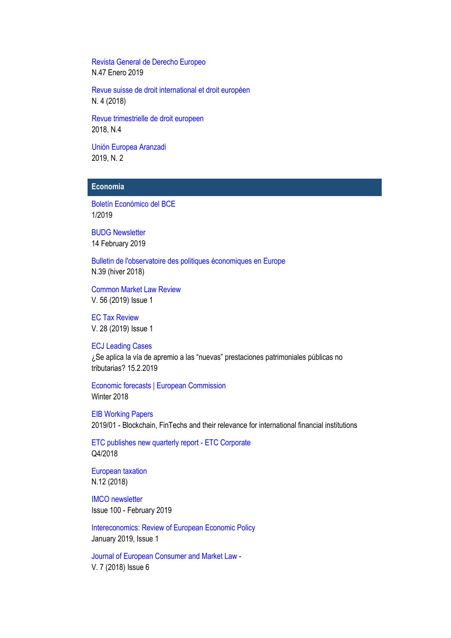[Revista General de Derecho Europeo](http://www.iustel.com/v2/revistas/detalle_revista.asp?id=13) N.47 Enero 2019

[Revue suisse de droit international et droit européen](https://dialnet.unirioja.es/servlet/revista?codigo=1290) N. 4 (2018)

[Revue trimestrielle de droit europeen](https://dialnet.unirioja.es/servlet/revista?codigo=1293) 2018, N.4

[Unión Europea Aranzadi](https://dialnet.unirioja.es/servlet/revista?codigo=1713) 2019, N. 2

# **Economia**

[Boletín Económico del BCE](https://www.bde.es/bde/es/secciones/informes/Publicaciones_de/boletin-economic/) 1/2019

[BUDG Newsletter](http://www.europarl.europa.eu/committees/es/budg/newsletters.html) 14 February 2019

[Bulletin de l'observatoire des politiques économiques en Europe](http://www.opee.unistra.fr/) N.39 (hiver 2018)

[Common Market Law Review](http://www.kluwerlawonline.com/toc.php?area=Journals&mode=bypub&level=4&values=Journals~~Common+Market+Law+Review) V. 56 (2019) Issue 1

[EC Tax Review](http://www.kluwerlawonline.com/toc.php?area=Journals&mode=bypub&level=4&values=Journals~~EC+Tax+Review)  V. 28 (2019) Issue 1

[ECJ Leading Cases](https://ecjleadingcases.wordpress.com/about/) ¿Se aplica la vía de apremio a las "nuevas" prestaciones patrimoniales públicas no tributarias? 15.2.2019

[Economic forecasts | European Commission](https://ec.europa.eu/info/business-economy-euro/economic-performance-and-forecasts/economic-forecasts_en) Winter 2018

[EIB Working Papers](http://www.eib.org/en/infocentre/publications/all/economics-working-paper-2018-07.htm) 2019/01 - Blockchain, FinTechs and their relevance for international financial institutions

[ETC publishes new quarterly report -](http://www.etc-corporate.org/?page=news-article&article_id=140) ETC Corporate Q4/2018

[European taxation](https://dialnet.unirioja.es/servlet/revista?codigo=16428) N.12 (2018)

[IMCO newsletter](http://www.europarl.europa.eu/committees/es/imco/newsletters.html) Issue 100 - February 2019

[Intereconomics: Review of European Economic Policy](https://link.springer.com/journal/volumesAndIssues/10272) January 2019, Issue 1

[Journal of European Consumer and Market Law -](http://www.kluwerlawonline.com/toc.php?area=Journals&mode=bypub&level=4&values=Journals~~Journal+of+European+Consumer+and+Market+Law) V. 7 (2018) Issue 6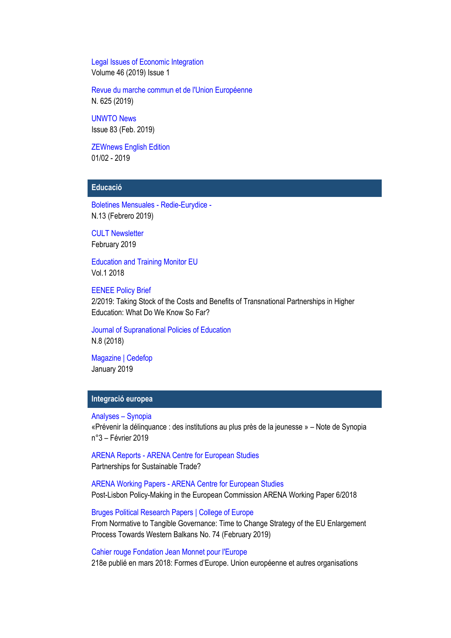[Legal Issues of Economic Integration](http://www.kluwerlawonline.com/toc.php?area=Journals&mode=bypub&level=4&values=Journals~~Legal+Issues+of+Economic+Integration) Volume 46 (2019) Issue 1

[Revue du marche commun et de l'Union Européenne](https://dialnet.unirioja.es/servlet/revista?codigo=1275)  N. 625 (2019)

[UNWTO News](http://media.unwto.org/content/unwto-news-78) Issue 83 (Feb. 2019)

[ZEWnews English Edition](http://www.zew.de/en/publikationen/zew-periodika/zewnews/) 01/02 - 2019

# **Educació**

[Boletines Mensuales -](https://www.mecd.gob.es/educacion/mc/redie-eurydice/inicio/boletines-mensuales.html) Redie-Eurydice - N.13 (Febrero 2019)

[CULT Newsletter](http://www.europarl.europa.eu/committees/es/cult/newsletters.html) February 2019

[Education and Training Monitor EU](https://ec.europa.eu/education/policy/strategic-framework/et-monitor_es)  Vol.1 2018

[EENEE Policy Brief](http://www.eenee.de/eeneeHome/EENEE/Policy-Briefs.html) 2/2019: Taking Stock of the Costs and Benefits of Transnational Partnerships in Higher Education: What Do We Know So Far?

[Journal of Supranational Policies of Education](https://dialnet.unirioja.es/servlet/revista?codigo=21604) N.8 (2018)

[Magazine | Cedefop](http://www.cedefop.europa.eu/en/publication-types/magazine) January 2019

# **Integració europea**

[Analyses](https://www.synopia.fr/category/publications/analyses/) – Synopia

«Prévenir la délinquance : des institutions au plus près de la jeunesse » – Note de Synopia n°3 – Février 2019

ARENA Reports - [ARENA Centre for European Studies](https://www.sv.uio.no/arena/english/research/publications/arena-reports/) Partnerships for Sustainable Trade?

ARENA Working Papers - [ARENA Centre for European Studies](https://www.sv.uio.no/arena/english/research/publications/arena-working-papers/) Post-Lisbon Policy-Making in the European Commission ARENA Working Paper 6/2018

[Bruges Political Research Papers | College of Europe](https://www.coleurope.eu/study/european-political-and-administrative-studies/research-publications/bruges-political-research) From Normative to Tangible Governance: Time to Change Strategy of the EU Enlargement Process Towards Western Balkans No. 74 (February 2019)

[Cahier rouge Fondation Jean Monnet pour l'Europe](https://jean-monnet.ch/publication/liste-des-parutions/) 218e publié en mars 2018: Formes d'Europe. Union européenne et autres organisations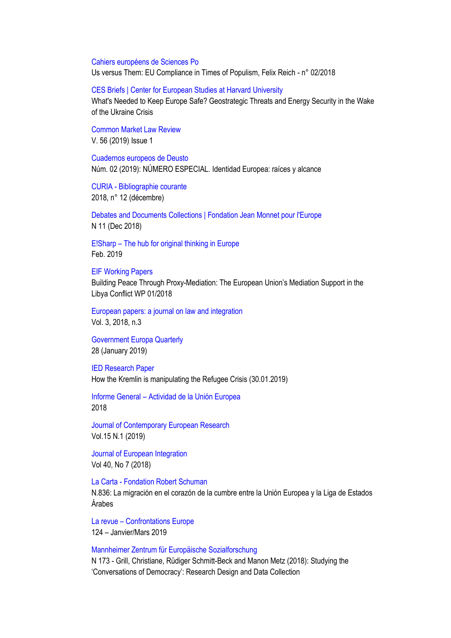#### [Cahiers européens de Sciences Po](http://www.sciencespo.fr/centre-etudes-europeennes/en/content/cahiers-europeens-de-sciences-po)

Us versus Them: EU Compliance in Times of Populism, Felix Reich - n° 02/2018

#### [CES Briefs | Center for European Studies at Harvard University](https://ces.fas.harvard.edu/research/ces-briefs-1)

What's Needed to Keep Europe Safe? Geostrategic Threats and Energy Security in the Wake of the Ukraine Crisis

[Common Market Law Review](http://www.kluwerlawonline.com/toc.php?area=Journals&mode=bypub&level=4&values=Journals~~Common+Market+Law+Review) V. 56 (2019) Issue 1

[Cuadernos europeos de Deusto](https://dialnet.unirioja.es/servlet/revista?codigo=385) Núm. 02 (2019): NÚMERO ESPECIAL. Identidad Europea: raíces y alcance

CURIA - [Bibliographie courante](https://curia.europa.eu/jcms/jcms/Jo2_11939/bibliographie-courante) 2018, n° 12 (décembre)

[Debates and Documents Collections | Fondation Jean Monnet pour l'Europe](https://jean-monnet.ch/publication/liste-complete-2/) N 11 (Dec 2018)

E!Sharp – The [hub for original thinking in Europe](http://esharp.eu/) Feb. 2019

### [EIF Working Papers](https://eif.univie.ac.at/workingpapers/index.php)

Building Peace Through Proxy-Mediation: The European Union's Mediation Support in the Libya Conflict WP 01/2018

[European papers: a journal on law and integration](https://dialnet.unirioja.es/servlet/revista?codigo=24732) Vol. 3, 2018, n.3

[Government Europa Quarterly](https://www.governmenteuropa.eu/category/publications/government-europa-quarterly/) 28 (January 2019)

[IED Research Paper](https://www.iedonline.eu/publications/) How the Kremlin is manipulating the Refugee Crisis (30.01.2019)

Informe General – [Actividad de la Unión Europea](https://europa.eu/european-union/documents-publications/reports-booklets/general-report_es) 2018

[Journal of Contemporary European Research](http://www.jcer.net/index.php/jcer) Vol.15 N.1 (2019)

[Journal of European Integration](https://www.tandfonline.com/toc/geui20/current) Vol 40, No 7 (2018)

La Carta - [Fondation Robert Schuman](https://www.robert-schuman.eu/es/la-carta/829)

N.836: La migración en el corazón de la cumbre entre la Unión Europea y la Liga de Estados Árabes

La revue – [Confrontations Europe](http://confrontations.org/publications/la-revue/) 124 – Janvier/Mars 2019

#### [Mannheimer Zentrum für Europäische Sozialforschung](http://www.mzes.uni-mannheim.de/d7/en/publications/search/custom?f%5B0%5D=field_biblio_mzes_pub_type%3A1)

N 173 - Grill, Christiane, Rüdiger Schmitt-Beck and Manon Metz (2018): Studying the 'Conversations of Democracy': Research Design and Data Collection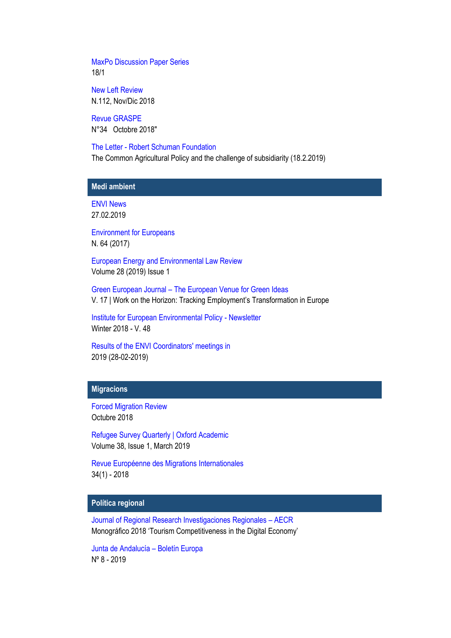[MaxPo Discussion Paper Series](http://www.maxpo.eu/publications_DP.asp) 18/1

[New Left Review](http://newleftreview.es/) N.112, Nov/Dic 2018

[Revue GRASPE](https://graspe.eu/revue.htm) N°34 Octobre 2018"

The Letter - [Robert Schuman Foundation](http://www.robert-schuman.eu/en/the-letter/769)

The Common Agricultural Policy and the challenge of subsidiarity (18.2.2019)

# **Medi ambient**

[ENVI News](http://www.europarl.europa.eu/committees/es/envi/newsletters.html) 27.02.2019

[Environment for Europeans](https://ec.europa.eu/environment/efe/homepage_en) N. 64 (2017)

[European Energy and Environmental Law Review](http://www.kluwerlawonline.com/toc.php?area=Journals&mode=bypub&level=4&values=Journals~~European+Energy+and+Environmental+Law+Review)  Volume 28 (2019) Issue 1

Green European Journal – [The European Venue for Green Ideas](http://www.greeneuropeanjournal.eu/) V. 17 | Work on the Horizon: Tracking Employment's Transformation in Europe

[Institute for European Environmental Policy -](https://ieep.eu/newsletters) Newsletter Winter 2018 - V. 48

[Results of the ENVI Coordinators' meetings in](http://www.europarl.europa.eu/committees/es/envi/publications.html) 2019 (28-02-2019)

### **Migracions**

[Forced Migration Review](https://www.fmreview.org/es) Octubre 2018

[Refugee Survey Quarterly | Oxford Academic](https://academic.oup.com/rsq) Volume 38, Issue 1, March 2019

[Revue Européenne des Migrations Internationales](https://dialnet.unirioja.es/servlet/revista?codigo=24858) 34(1) - 2018

# **Política regional**

[Journal of Regional Research Investigaciones Regionales](http://investigacionesregionales.org/) – AECR Monográfico 2018 'Tourism Competitiveness in the Digital Economy'

[Junta de Andalucía](https://www.juntadeandalucia.es/organismos/presidenciaadministracionlocalymemoriademocratica/areas/accion-exterior/alentejo-algarve-andalucia/paginas/boletin-euroAAA.html) – Boletín Europa Nº 8 - 2019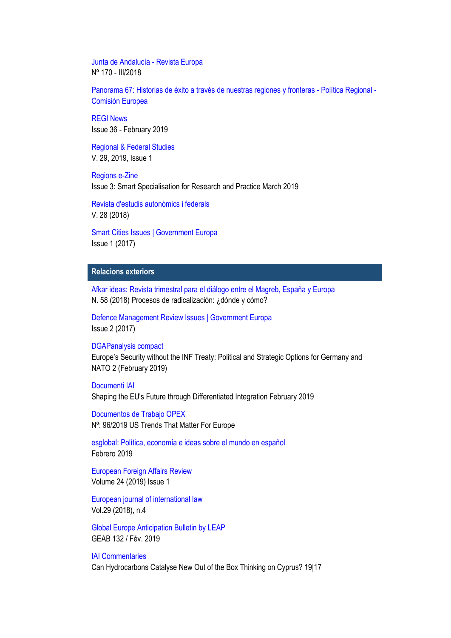[Junta de Andalucía -](https://www.juntadeandalucia.es/organismos/presidenciaadministracionlocalymemoriademocratica/areas/accion-exterior/revista-europa-junta.html) Revista Europa Nº 170 - III/2018

[Panorama 67: Historias de éxito a través de nuestras regiones y fronteras -](https://ec.europa.eu/regional_policy/es/information/publications/panorama-magazine/2018/panorama-67-success-stories-across-our-regions-and-borders) Política Regional - [Comisión Europea](https://ec.europa.eu/regional_policy/es/information/publications/panorama-magazine/2018/panorama-67-success-stories-across-our-regions-and-borders)

[REGI News](http://www.europarl.europa.eu/committees/es/regi/newsletters.html) Issue 36 - February 2019

[Regional & Federal Studies](http://www.tandfonline.com/toc/frfs20/current) V. 29, 2019, Issue 1

[Regions e-Zine](https://regions.regionalstudies.org/) Issue 3: Smart Specialisation for Research and Practice March 2019

[Revista d'estudis autonòmics i federals](https://dialnet.unirioja.es/servlet/revista?codigo=7191)  V. 28 (2018)

[Smart Cities Issues | Government Europa](https://www.governmenteuropa.eu/category/publications/smart-cities-issues/) Issue 1 (2017)

## **Relacions exteriors**

[Afkar ideas: Revista trimestral para el diálogo entre el Magreb, España y Europa](https://dialnet.unirioja.es/servlet/revista?codigo=5662) N. 58 (2018) Procesos de radicalización: ¿dónde y cómo?

[Defence Management Review Issues | Government Europa](https://www.governmenteuropa.eu/category/publications/defence-management-review-issues/) Issue 2 (2017)

### [DGAPanalysis compact](https://dgap.org/en/think-tank/publications/dgap_analysis_compact)

Europe's Security without the INF Treaty: Political and Strategic Options for Germany and NATO 2 (February 2019)

[Documenti IAI](https://www.iai.it/en/pubblicazioni/lista/all/documenti-iai) Shaping the EU's Future through Differentiated Integration February 2019

[Documentos de Trabajo OPEX](http://www.fundacionalternativas.org/observatorio-de-politica-exterior-opex/documentos/documentos-de-trabajo) Nº: 96/2019 US Trends That Matter For Europe

[esglobal: Política, economía e ideas sobre el mundo en español](http://www.esglobal.org/) Febrero 2019

[European Foreign Affairs Review](http://www.kluwerlawonline.com/toc.php?pubcode=eerr) Volume 24 (2019) Issue 1

[European journal of international law](https://dialnet.unirioja.es/servlet/revista?codigo=570) Vol.29 (2018), n.4

[Global Europe Anticipation Bulletin by LEAP](http://geab.eu/) GEAB 132 / Fév. 2019

### [IAI Commentaries](https://www.iai.it/en/pubblicazioni/lista/all/iai-commentaries)

Can Hydrocarbons Catalyse New Out of the Box Thinking on Cyprus? 19|17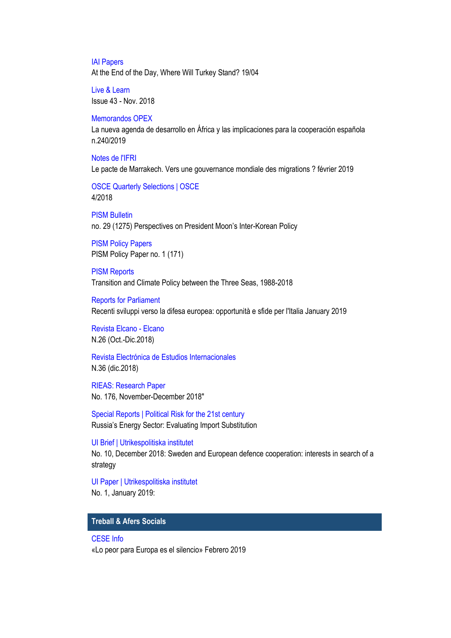[IAI Papers](https://www.iai.it/en/pubblicazioni/lista/all/iai-papers) At the End of the Day, Where Will Turkey Stand? 19/04

[Live & Learn](https://www.etf.europa.eu/en/publications-and-resources/publications/livelearn-issue-42-june-2018) Issue 43 - Nov. 2018

#### [Memorandos OPEX](http://www.fundacionalternativas.org/observatorio-de-politica-exterior-opex/documentos/memorandos)

La nueva agenda de desarrollo en África y las implicaciones para la cooperación española n.240/2019

[Notes de l'IFRI](https://www.ifri.org/fr/publications?title=&field_contenugen_fc_auteur_int_target_id=All&field_themes_associes_tid=All&field_date_de_publication_value%5Bvalue%5D%5Byear%5D=&term_node_tid_depth_1=21&sort_by=field_date_de_publication_value&sort_order=DESC) Le pacte de Marrakech. Vers une gouvernance mondiale des migrations ? février 2019

[OSCE Quarterly Selections | OSCE](https://www.osce.org/resources/126378) 4/2018

[PISM Bulletin](http://www.pism.pl/bulletin) no. 29 (1275) Perspectives on President Moon's Inter-Korean Policy

**[PISM Policy](http://www.pism.pl/pism-policy-papers) Papers** PISM Policy Paper no. 1 (171)

[PISM Reports](http://www.pism.pl/publications/reports) Transition and Climate Policy between the Three Seas, 1988-2018

[Reports for Parliament](https://www.iai.it/en/pubblicazioni/lista/all/reports-for-parliament) Recenti sviluppi verso la difesa europea: opportunità e sfide per l'Italia January 2019

[Revista Elcano -](http://www.realinstitutoelcano.org/wps/portal/rielcano_es/publicaciones/revista-elcano/!ut/p/a1/jZFBDoIwEEXP4gFMC1Ijy1pNVUBB0WA3pmLFJlgIEhee3gouTAT0r2aS9_InLWAgAkzxu0x4KTPF09fOhofBxnXdkGAPWWQZBubKNGAdDew1AFuCYe2HExo4VEv2mkBMR05oIwPuZtbbbwHGCP3X31HQ5HtffjvQ5Pu_fL_b_7h_UQEd76cLzMIjXgJYzstLX6pzBqJCijTmSk9zdZKxmFabX4ibULHkNM2O-vfy61YnergY956bwZPd/dl5/d5/L2dJQSEvUUt3QS80SmlFL1o2XzNTTExMVENBTTU0Q05UUTJDTTAwMDAwMDAw/) Elcano N.26 (Oct.-Dic.2018)

[Revista Electrónica de Estudios Internacionales](http://www.reei.org/index.php/revista/num35/) N.36 (dic.2018)

[RIEAS: Research Paper](http://www.rieas.gr/publications) No. 176, November-December 2018"

[Special Reports | Political Risk for the 21st century](https://globalriskinsights.com/publications-special-reports/) Russia's Energy Sector: Evaluating Import Substitution

[UI Brief | Utrikespolitiska institutet](https://www.ui.se/butiken/uis-publikationer/ui-brief/) No. 10, December 2018: Sweden and European defence cooperation: interests in search of a strategy

[UI Paper | Utrikespolitiska institutet](https://www.ui.se/butiken/uis-publikationer/ui-paper/) No. 1, January 2019:

# **Treball & Afers Socials**

#### [CESE Info](https://www.eesc.europa.eu/es/news-media/eesc-info)

«Lo peor para Europa es el silencio» Febrero 2019